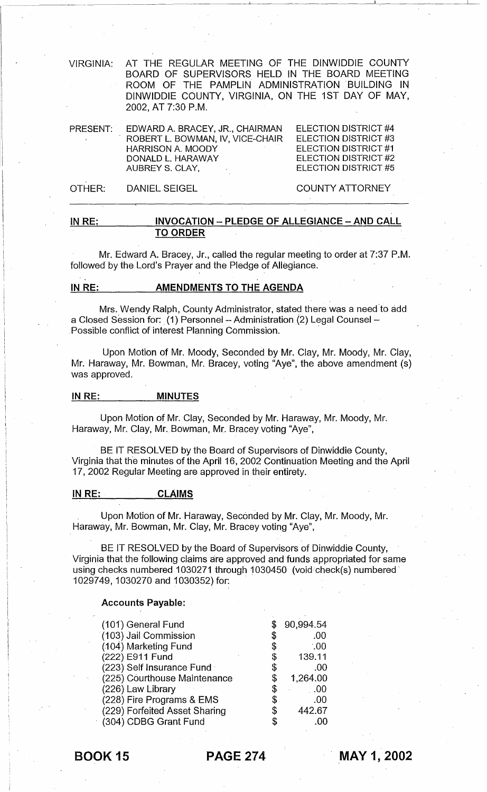VIRGINIA: AT THE REGULAR MEETING OF THE DINWIDDIE COUNTY BOARD OF SUPERVISORS HELD IN THE BOARD MEETING ROOM OF THE PAMPLIN ADMINISTRATION BUILDING IN DINWIDDIE COUNTY, VIRGINIA, ON THE 1ST DAY OF MAY, 2002, AT 7:30 P.M.

| PRESENT: | EDWARD A. BRACEY, JR., CHAIRMAN  | ELECTION DISTRICT #4 |
|----------|----------------------------------|----------------------|
|          | ROBERT L. BOWMAN, IV. VICE-CHAIR | ELECTION DISTRICT #3 |
|          | <b>HARRISON A. MOODY</b>         | ELECTION DISTRICT #1 |
|          | DONALD L. HARAWAY                | ELECTION DISTRICT #2 |
|          | AUBREY S. CLAY,                  | ELECTION DISTRICT #5 |
|          |                                  |                      |

OTHER: DANIEL SEIGEL COUNTY ATTORNEY

\_\_\_\_\_\_ ~------------------I~.------------~-

# IN RE: INVOCATION - PLEDGE OF ALLEGIANCE - AND CALL TO ORDER

Mr. Edward A. Bracey, Jr., called the regular meeting to order at 7:37 P.M. followed by the Lord's Prayer and the Pledge of Allegiance.

# IN RE: AMENDMENTS TO THE AGENDA

Mrs. Wendy Ralph, County Administrator, stated there was a need to add a Closed Session for: (1) Personnel - Administration (2) Legal Counsel -. Possible conflict of interest Planning Commission. .

Upon Motion of Mr. Moody, Seconded by Mr. Clay, Mr. Moody, Mr. Clay, Mr. Haraway, Mr. Bowman, Mr. Bracey, voting "Aye", the above amendment (s) was approved.

### IN RE: MINUTES

Upon Motion of Mr. Clay, Seconded by Mr. Haraway, Mr. Moody, Mr. Haraway, Mr. Clay, Mr. Bowman, Mr. Bracey voting "Aye",

BE IT RESOLVED by the Board of Supervisors of Dinwiddie County, Virginia that the minutes of the April 16, 2002 Continuation Meeting and the April 17,2002 Regular Meeting are approved in their entirety.

# IN RE: CLAIMS

Upon Motion of Mr. Haraway, Seconded by Mr. Clay, Mr. Moody, Mr. Haraway, Mr. Bowman, Mr. Clay, Mr. Bracey voting "Aye",

BE IT RESOLVED by the Board of Supervisors of Dinwiddie County, Virginia that the following claims are approved and funds appropriated for same using checks numbered 1030271 through 1030450 (void check(s) numbered 1029749, 1030270 and 1030352) for:

#### Accounts Payable:

| (101) General Fund            |    | 90,994.54   |
|-------------------------------|----|-------------|
| (103) Jail Commission         |    | .00         |
| (104) Marketing Fund          |    | $\cdot .00$ |
| (222) E911 Fund               | \$ | 139.11      |
| (223) Self Insurance Fund     | \$ | .00         |
| (225) Courthouse Maintenance  | \$ | 1,264.00    |
| (226) Law Library             | \$ | $00$ .      |
| (228) Fire Programs & EMS     | \$ | .00         |
| (229) Forfeited Asset Sharing | \$ | 442.67      |
| (304) CDBG Grant Fund         | S  |             |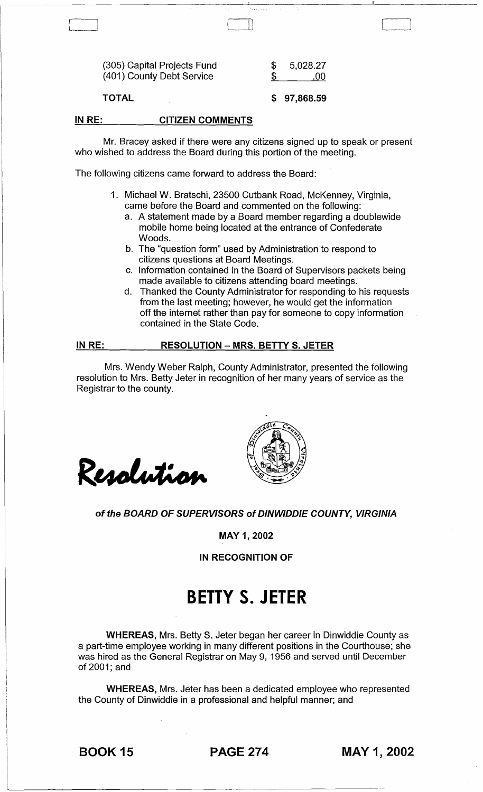TOTAL

\$ 97,868.59

, and the set of the set of the set of the set of the set of the set of the set of the set of the set of the set of the set of the set of the set of the set of the set of the set of the set of the set of the set of the se

#### IN RE: CITIZEN COMMENTS

Mr. Bracey asked if there were any citizens signed up to speak or present who wished to address the Board during this portion of the meeting.

-----~-~~---~~---~------~~~~,---~-~------------

The following citizens came forward to address the Board:

- 1. Michael W. Bratschi, 23500 Cutbank Road, McKenney, Virginia, came before the Board and commented on the following:
	- a. A statement made by a Board member regarding a doublewide mobile home being located at the entrance of Confederate Woods.
	- b. The "question form" used by Administration to respond to citizens questions at Board Meetings.
	- c. Information contained in the Board of Supervisors packets being made available to citizens attending board meetings.
	- d. Thanked the County Administrator for responding to his requests from the last meeting; however, he would get the information off the internet rather than pay for someone to copy information contained in the State Code.

#### IN RE: RESOLUTION - MRS. BETTY S. JETER

Mrs. Wendy Weber Ralph, County Administrator, presented the following resolution to Mrs. Betty Jeter in recognition of her many years of service as the Registrar to the county.

Resolution



### of the BOARD OF SUPERVISORS of DINWIDDIE COUNTY, VIRGINIA

MAY 1, 2002

IN RECOGNITION OF

# **BETTY S. JETER**

WHEREAS, Mrs. Betty S. Jeter began her career in Dinwiddie County as a part-time employee working in many different positions in the Courthouse; she was hired as the General Registrar on May 9, 1956 and served until December of 2001; and

WHEREAS, Mrs. Jeter has been a dedicated employee who represented the County of Dinwiddie in a professional and helpful manner; and

BOOK 15 PAGE 274 MAY 1, 2002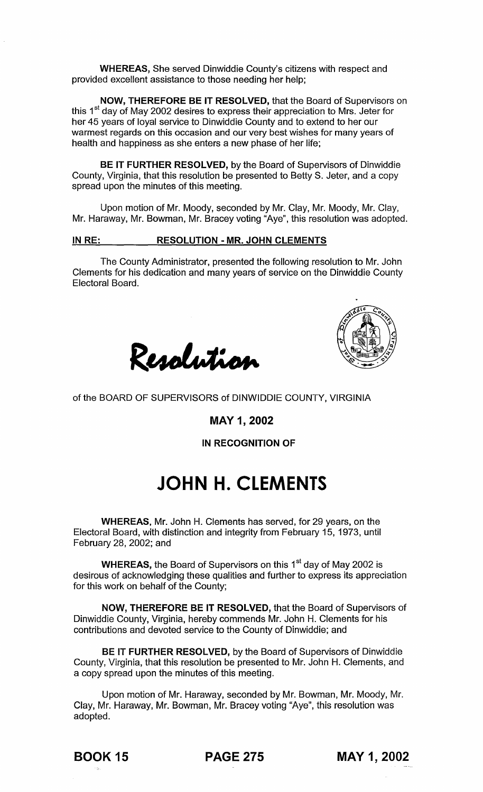WHEREAS, She served Dinwiddie County's citizens with respect and provided excellent assistance to those needing her help;

NOW, THEREFORE BE IT RESOLVED, that the Board of Supervisors on this 1<sup>st</sup> day of May 2002 desires to express their appreciation to Mrs. Jeter for her 45 years of loyal service to Dinwiddie County and to extend to her our warmest regards on this occasion and our very best wishes for many years of health and happiness as she enters a new phase of her life;

BE IT FURTHER RESOLVED, by the Board of Supervisors of Dinwiddie County, Virginia, that this resolution be presented to Betty S. Jeter, and a copy spread upon the minutes of this meeting.

Upon motion of Mr. Moody, seconded by Mr. Clay, Mr. Moody, Mr. Clay, Mr. Haraway, Mr. Bowman, Mr. Bracey voting "Aye", this resolution was adopted.

## IN RE: RESOLUTION - MR. JOHN CLEMENTS

The County Administrator, presented the following resolution to Mr. John Clements for his dedication and many years of service on the Dinwiddie County Electoral Board.





of the BOARD OF SUPERVISORS of DINWIDDIE COUNTY, VIRGINIA

MAY 1, 2002

IN RECOGNITION OF

# **JOHN H. CLEMENTS**

WHEREAS, Mr. John H. Clements has served, for 29 years, on the Electoral Board, with distinction and integrity from February 15, 1973, until February 28, 2002; and

**WHEREAS,** the Board of Supervisors on this 1 $^{\text{st}}$  day of May 2002 is desirous of acknowledging these qualities and further to express its appreciation for this work on behalf of the County;

NOW, THEREFORE BE IT RESOLVED, that the Board of Supervisors of Dinwiddie County, Virginia, hereby commends Mr. John H. Clements for his contributions and devoted service to the County of Dinwiddie; and

BE IT FURTHER RESOLVED, by the Board of Supervisors of Dinwiddie County, Virginia, that this resolution be presented to Mr. John H. Clements, and a copy spread upon the minutes of this meeting.

Upon motion of Mr. Haraway, seconded by Mr. Bowman, Mr. Moody, Mr. Clay, Mr. Haraway, Mr. Bowman, Mr. Bracey voting "Aye", this resolution was adopted.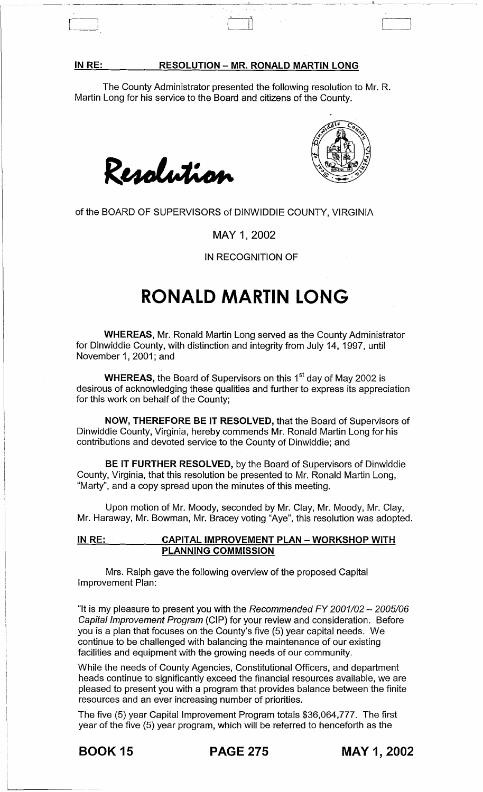#### **RESOLUTION - MR. RONALD MARTIN LONG**

~  $\frac{1}{\sqrt{2}}$ 

The County Administrator presented the following resolution to Mr. R. Martin Long for his service to the Board and citizens of the County.





of the BOARD OF SUPERVISORS of DINWIDDIE COUNTY, VIRGINIA

MAY 1, 2002

IN RECOGNITION OF

# **RONALD MARTIN LONG**

WHEREAS, Mr. Ronald Martin Long served as the County Administrator for Dinwiddie County, with distinction and integrity from July 14, 1997, until November 1, 2001; and

WHEREAS, the Board of Supervisors on this 1<sup>st</sup> day of May 2002 is desirous of acknowledging these qualities and further to express its appreciation for this work on behalf of the County;

NOW, THEREFORE BE IT RESOLVED, that the Board of Supervisors of Dinwiddie County, Virginia, hereby commends Mr. Ronald Martin Long for his contributions and devoted service to the County of Dinwiddie; and

BE IT FURTHER RESOLVED, by the Board of Supervisors of Dinwiddie County, Virginia, that this resolution be presented to Mr. Ronald Martin Long, "Marty", and a copy spread upon the minutes of this meeting.

Upon motion of Mr. Moody, seconded by Mr. Clay, Mr. Moody, Mr. Clay, Mr. Haraway, Mr. Bowman, Mr. Bracey voting "Aye", this resolution was adopted.

# IN RE: CAPITAL IMPROVEMENT PLAN - WORKSHOP WITH PLANNING COMMISSION

Mrs. Ralph gave the following overview of the proposed Capital Improvement Plan:

"It is my pleasure to present you with the Recommended FY 2001/02  $-$  2005/06 Capital Improvement Program (CIP) for your review and consideration. Before you is a plan that focuses on the County's five (5) year capital needs. We continue to be challenged with balancing the maintenance of our existing facilities and equipment with the growing needs of our community.

While the needs of County Agencies, Constitutional Officers, and department heads continue to significantly exceed the financial resources available, we are pleased to present you with a program that provides balance between the finite resources and an ever increasing number of priorities.

The five (5) year Capital Improvement Program totals \$36,064,777. The first year of the five (5) year program, which will be referred to henceforth as the

BOOK 15 PAGE 275 MAY 1, 2002

IN RE:

 $\begin{bmatrix} \phantom{-} \end{bmatrix}$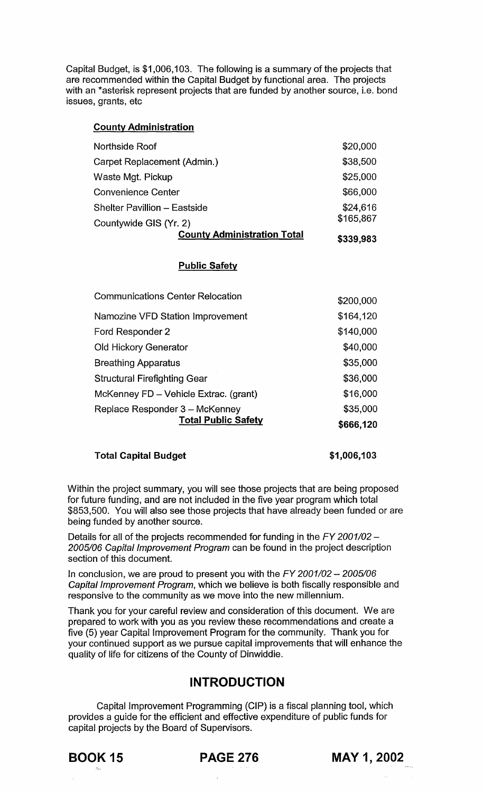Capital Budget, is \$1,006,103. The following is a summary of the projects that are recommended within the Capital Budget by functional area. The projects with an \*asterisk represent projects that are funded by another source, i.e. bond issues, grants, etc

# County Administration

| <b>County Administration Total</b>  | \$339,983 |
|-------------------------------------|-----------|
| Countywide GIS (Yr. 2)              | \$165,867 |
| <b>Shelter Pavillion - Eastside</b> | \$24,616  |
| <b>Convenience Center</b>           | \$66,000  |
| Waste Mgt. Pickup                   | \$25,000  |
| Carpet Replacement (Admin.)         | \$38,500  |
| Northside Roof                      | \$20,000  |

# Public Safety

| <b>Total Public Safety</b>              | \$666,120 |
|-----------------------------------------|-----------|
| Replace Responder 3 - McKenney          | \$35,000  |
| McKenney FD - Vehicle Extrac. (grant)   | \$16,000  |
| <b>Structural Firefighting Gear</b>     | \$36,000  |
| <b>Breathing Apparatus</b>              | \$35,000  |
| <b>Old Hickory Generator</b>            | \$40,000  |
| Ford Responder 2                        | \$140,000 |
| Namozine VFD Station Improvement        | \$164,120 |
| <b>Communications Center Relocation</b> | \$200,000 |

# Total Capital Budget

\$1,006,103

Within the project summary, you will see those projects that are being proposed for future funding, and are not included in the five year program which total \$853,500. You will also see those projects that have already been funded or are being funded by another source.

Details for all of the projects recommended for funding in the  $FY$  2001/02 -2005/06 Capital Improvement Program can be found in the project description section of this document.

In conclusion, we are proud to present you with the  $FY$  2001/02 - 2005/06 Capital Improvement Program, which we believe is both fiscally responsible and responsive to the community as we move into the new millennium.

Thank you for your careful review and consideration of this document. We are prepared to work with you as you review these recommendations and create a five (5) year Capital Improvement Program for the community. Thank you for your continued support as we pursue capital improvements that will enhance the quality of life for citizens of the County of Dinwiddie.

# **INTRODUCTION**

Capital Improvement Programming (CIP) is a fiscal planning tool, which provides a guide for the efficient and effective expenditure of public funds for capital projects by the Board of Supervisors.

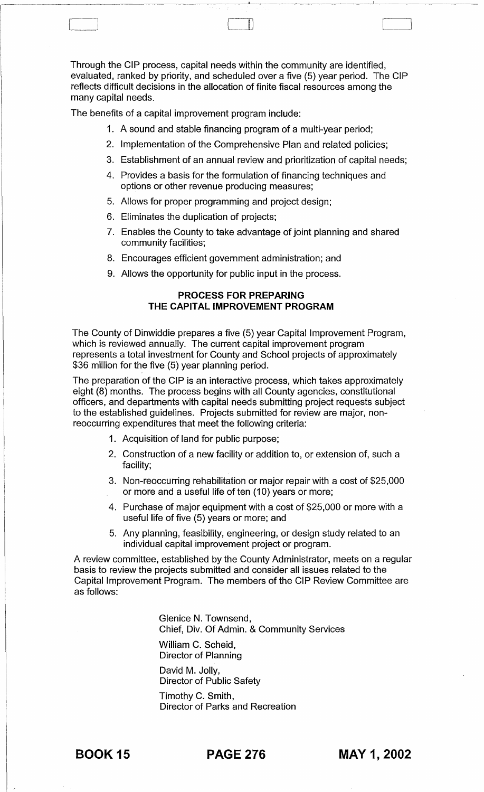Through the CIP process, capital needs within the community are identified, evaluated, ranked by priority, and scheduled over a five (5) year period. The CIP reflects difficult decisions in the allocation of finite fiscal resources among the many capital needs.

The benefits of a capital improvement program include:

- 1. A sound and stable financing program of a multi-year period;
- 2. Implementation of the Comprehensive Plan and related policies;
- 3. Establishment of an annual review and prioritization of capital needs;
- 4. Provides a basis for the formulation of financing techniques and options or other revenue producing measures;
- 5. Allows for proper programming and project design;
- 6. Eliminates the duplication of projects;
- 7. Enables the County to take advantage of joint planning and shared community facilities;
- 8. Encourages efficient government administration; and
- 9. Allows the opportunity for public input in the process.

# **PROCESS FOR PREPARING THE CAPITAL IMPROVEMENT PROGRAM**

The County of Dinwiddie prepares a five (5) year Capital Improvement Program, which is reviewed annually. The current capital improvement program represents a total investment for County and School projects of approximately \$36 million for the five (5) year planning period.

The preparation of the CIP is an interactive process, which takes approximately eight (8) months. The process begins with all County agencies, constitutional officers, and departments with capital needs submitting project requests subject to the established guidelines. Projects submitted for review are major, nonreoccurring expenditures that meet the following criteria:

- 1. Acquisition of land for public purpose;
- 2. Construction of a new facility or addition to, or extension of, such a facility;
- 3. Non-reoccurring rehabilitation or major repair with a cost of \$25,000 or more and a useful life of ten (10) years or more;
- 4. Purchase of major equipment with a cost of \$25,000 or more with a useful life of five (5) years or more; and
- 5. Any planning, feasibility, engineering, or design study related to an individual capital improvement project or program.

A review committee, established by the County Administrator, meets on a regular basis to review the projects submitted and consider all issues related to the Capital Improvement Program. The members of the CIP Review Committee are as follows:

> Glenice N. Townsend, Chief, Div. Of Admin. & Community Services William C. Scheid, Director of Planning David M. Jolly, Director of Public Safety

Timothy C. Smith, Director of Parks and Recreation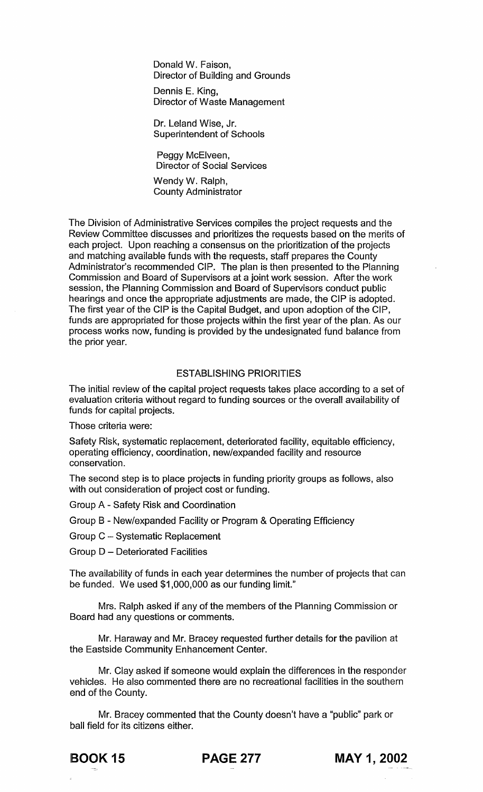Donald W. Faison, Director of Building and Grounds

Dennis E. King, Director of Waste Management

Dr. Leland Wise, Jr. Superintendent of Schools

Peggy McElveen, Director of Social Services

Wendy W. Ralph, County Administrator

The Division of Administrative Services compiles the project requests and the Review Committee discusses and prioritizes the requests based on the merits of each project. Upon reaching a consensus on the prioritization of the projects and matching available funds with the requests, staff prepares the County Administrator's recommended CIP. The plan is then presented to the Planning Commission and Board of Supervisors at a joint work session. After the work session, the Planning Commission and Board of Supervisors conduct public hearings and once the appropriate adjustments are made, the CIP is adopted. The first year of the CIP is the Capital Budget, and upon adoption of the CIP, funds are appropriated for those projects within the first year of the plan. As our process works now, funding is provided by the undesignated fund balance from the prior year.

### ESTABLISHING PRIORITIES

The initial review of the capital project requests takes place according to a set of evaluation criteria without regard to funding sources or the overall availability of funds for capital projects.

Those criteria were:

Safety Risk, systematic replacement, deteriorated facility, equitable efficiency, operating efficiency, coordination, new/expanded facility and resource conservation.

The second step is to place projects in funding priority groups as follows, also with out consideration of project cost or funding.

Group A - Safety Risk and Coordination

Group B - New/expanded Facility or Program & Operating Efficiency

Group C - Systematic Replacement

Group D - Deteriorated Facilities

The availability of funds in each year determines the number of projects that can be funded. We used \$1,000,000 as our funding limit."

Mrs. Ralph asked if any of the members of the Planning Commission or Board had any questions or comments.

Mr. Haraway and Mr. Bracey requested further details for the pavilion at the Eastside Community Enhancement Center.

Mr. Clay asked if someone would explain the differences in the responder vehicles. He also commented there are no recreational facilities in the southern end of the County.

Mr. Bracey commented that the County doesn't have a "public" park or ball field for its citizens either.



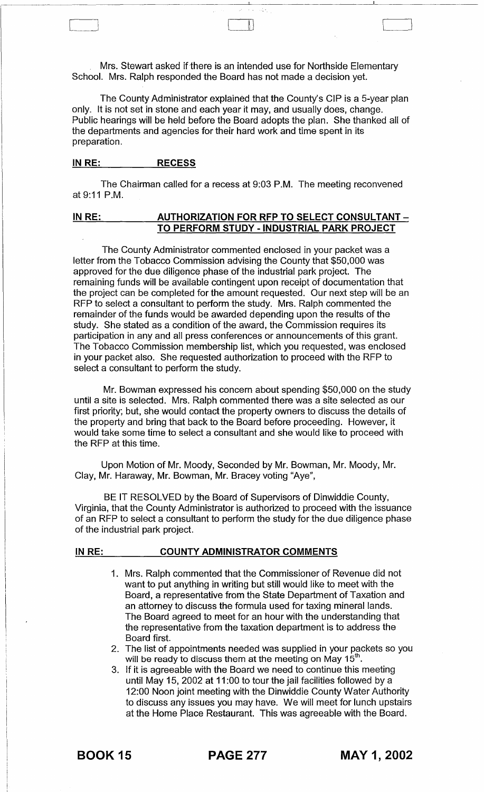Mrs. Stewart asked if there is an intended use for Northside Elementary School. Mrs. Ralph responded the Board has not made a decision yet.

III

The County Administrator explained that the County's CIP is a 5-year plan only. It is not set in stone and each year it may, and usually does, change. Public hearings will be held before the Board adopts the plan. She thanked all of the departments and agencies for their hard work and time spent in its preparation.

# **IN RE: RECESS**

The Chairman called for a recess at 9:03 P.M. The meeting reconvened at 9:11 P.M.

# IN RE: AUTHORIZATION FOR RFP TO SELECT CONSULTANT -**TO PERFORM STUDY - INDUSTRIAL PARK PROJECT**

The County Administrator commented enclosed in your packet was a letter from the Tobacco Commission advising the County that \$50,000 was approved for the due diligence phase of the industrial park project. The remaining funds will be available contingent upon receipt of documentation that the project can be completed for the amount requested. Our next step will be an RFP to select a consultant to perform the study. Mrs. Ralph commented the remainder of the funds would be awarded depending upon the results of the study. She stated as a condition of the award, the Commission requires its participation in any and all press conferences or announcements of this grant. The Tobacco Commission membership list, which you requested, was enclosed in your packet also. She requested authorization to proceed with the RFP to select a consultant to perform the study.

Mr. Bowman expressed his concern about spending \$50,000 on the study until a site is selected. Mrs. Ralph commented there was a site selected as our first priority; but, she would contact the property owners to discuss the details of the property and bring that back to the Board before proceeding. However, it would take some time to select a consultant and she would like to proceed with the RFP at this time.

Upon Motion of Mr. Moody, Seconded by Mr. Bowman, Mr. Moody, Mr. Clay, Mr. Haraway, Mr. Bowman, Mr. Bracey voting "Aye",

BE IT RESOLVED by the Board of Supervisors of Dinwiddie County, Virginia, that the County Administrator is authorized to proceed with the issuance of an RFP to select a consultant to perform the study for the due diligence phase of the industrial park project.

## **IN RE: COUNTY ADMINISTRATOR COMMENTS**

- 1. Mrs. Ralph commented that the Commissioner of Revenue did not want to put anything in writing but still would like to meet with the Board, a representative from the State Department of Taxation and an attorney to discuss the formula used for taxing mineral lands. The Board agreed to meet for an hour with the understanding that the representative from the taxation department is to address the Board first.
- 2. The list of appointments needed was supplied in your packets so you will be ready to discuss them at the meeting on May 15<sup>th</sup>.
- 3. If it is agreeable with the Board we need to continue this meeting until May 15, 2002 at 11:00 to tour the jail facilities followed by a 12:00 Noon joint meeting with the Dinwiddie County Water Authority to discuss any issues you may have. We will meet for lunch upstairs at the Home Place Restaurant. This was agreeable with the Board.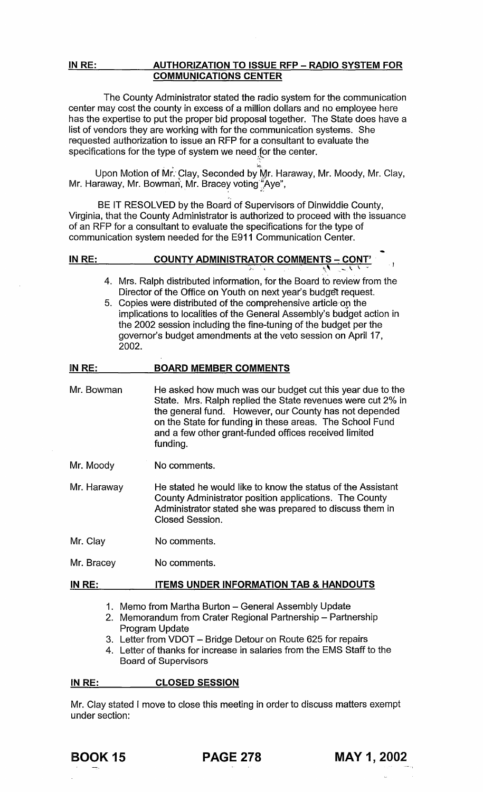## IN RE: AUTHORIZATION TO ISSUE RFP - RADIO SYSTEM FOR COMMUNICATIONS CENTER

The County Administrator stated the radio system for the communication center may cost the county in excess of a million dollars and no employee here has the expertise to put the proper bid proposal together. The State does have a list of vendors they are working with for the communication systems. She requested authorization to issue an RFP for a consultant to evaluate the specifications for the type of system we need for the center.

Upon Motion of Mr. Clay, Seconded by Mr. Haraway, Mr. Moody, Mr. Clay, Mr. Haraway, Mr. Bowman, Mr. Bracey voting "Aye",

BE IT RESOLVED by the Board of Supervisors of Dinwiddie County, Virginia, that the County Administrator is authorized to proceed with the issuance of an RFP for a consultant to evaluate the specifications for the type of communication system needed for the E911 Communication Center.

# IN RE: COUNTY ADMINISTRATOR COMMENTS ~ CONT' *i·* \' \ \

- 4. Mrs. Ralph distributed information, for the Board to review from the Director of the Office on Youth on next year's budget request.
- 5. Copies were distributed of the comprehensive article on the implications to localities of the General Assembly's budget action in the 2002 session including the fine-tuning of the budget per the governor's budget amendments at the veto session on April 17, 2002.

#### IN RE: BOARD MEMBER COMMENTS

- Mr. Bowman He asked how much was our budget cut this year due to the State. Mrs. Ralph replied the State revenues were cut 2% in the general fund. However, our County has not depended on the State for funding in these areas. The School Fund and a few other grant-funded offices received limited funding.
- Mr. Moody No comments.
- Mr. Haraway He stated he would like to know the status of the Assistant County Administrator position applications. The County Administrator stated she was prepared to discuss them in Closed Session.
- Mr. Clay No comments.
- Mr. Bracey No comments.

#### IN RE: ITEMS UNDER INFORMATION TAB & HANDOUTS

- 1. Memo from Martha Burton General Assembly Update
- 2. Memorandum from Crater Regional Partnership Partnership Program Update
- 3. Letter from VDOT Bridge Detour on Route 625 for repairs
- 4. Letter of thanks for increase in salaries from the EMS Staff to the Board of Supervisors

#### IN RE: CLOSED SESSION

Mr. Clay stated I move to close this meeting in order to discuss matters exempt under section: